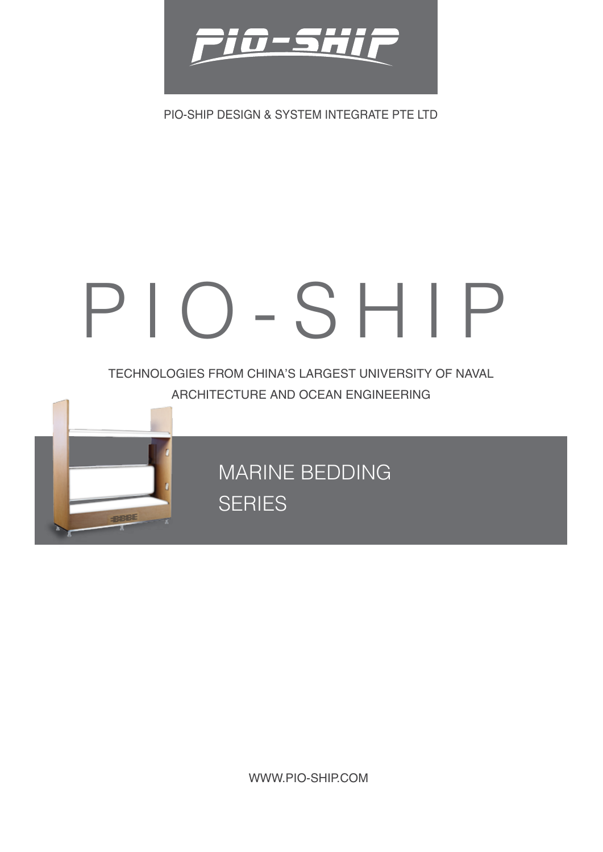

PIO-SHIP DESIGN & SYSTEM INTEGRATE PTE LTD

# PIO-SHIP

TECHNOLOGIES FROM CHINA'S LARGEST UNIVERSITY OF NAVAL ARCHITECTURE AND OCEAN ENGINEERING

> MARINE BEDDING **SERIES**

**FIERE** 

WWW.PIO-SHIP.COM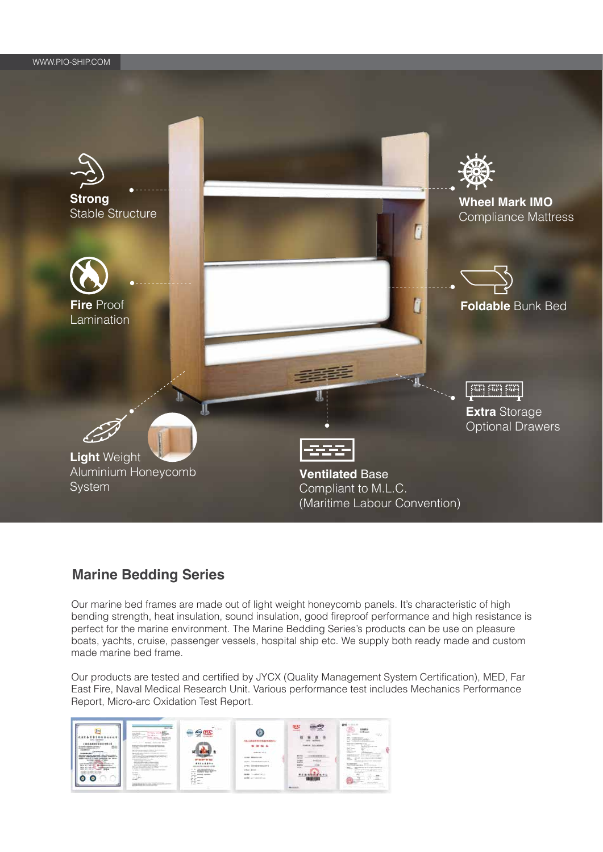

## **Marine Bedding Series**

Our marine bed frames are made out of light weight honeycomb panels. It's characteristic of high bending strength, heat insulation, sound insulation, good fireproof performance and high resistance is perfect for the marine environment. The Marine Bedding Series's products can be use on pleasure boats, yachts, cruise, passenger vessels, hospital ship etc. We supply both ready made and custom made marine bed frame.

Our products are tested and certified by JYCX (Quality Management System Certification), MED, Far East Fire, Naval Medical Research Unit. Various performance test includes Mechanics Performance Report, Micro-arc Oxidation Test Report.

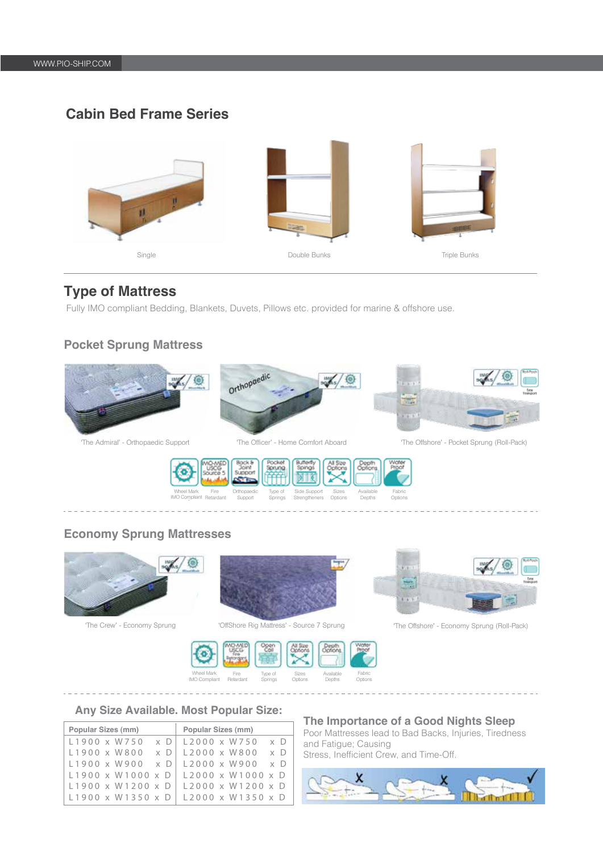# **Cabin Bed Frame Series**



## **Type of Mattress**

Fully IMO compliant Bedding, Blankets, Duvets, Pillows etc. provided for marine & offshore use.

### **Pocket Sprung Mattress**

**Economy Sprung Mattresses**

mg/

 $\circledcirc$ 







Available Depths



'The Crew' - Economy Sprung 'OffShore Rig Mattress' - Source 7 Sprung 'The Offshore' - Economy Sprung (Roll-Pack)





#### **Any Size Available. Most Popular Size:**

| Popular Sizes (mm)                          |  | Popular Sizes (mm)                                |
|---------------------------------------------|--|---------------------------------------------------|
| $L1900 \times W750 \times D$   L2000 x W750 |  | x D                                               |
| $L1900 \times W800 \times D$   L2000 x W800 |  | $\times$ D                                        |
| $L1900 \times W900 \times D$   L2000 x W900 |  | $\times$ D                                        |
|                                             |  | $L1900 \times W1000 \times D$   L2000 x W1000 x D |
|                                             |  | $L1900 \times W1200 \times D$   L2000 x W1200 x D |
|                                             |  | L1900 x W1350 x D   L2000 x W1350 x D             |

#### **The Importance of a Good Nights Sleep**

Poor Mattresses lead to Bad Backs, Injuries, Tiredness and Fatigue; Causing Stress, Inefficient Crew, and Time-Off.